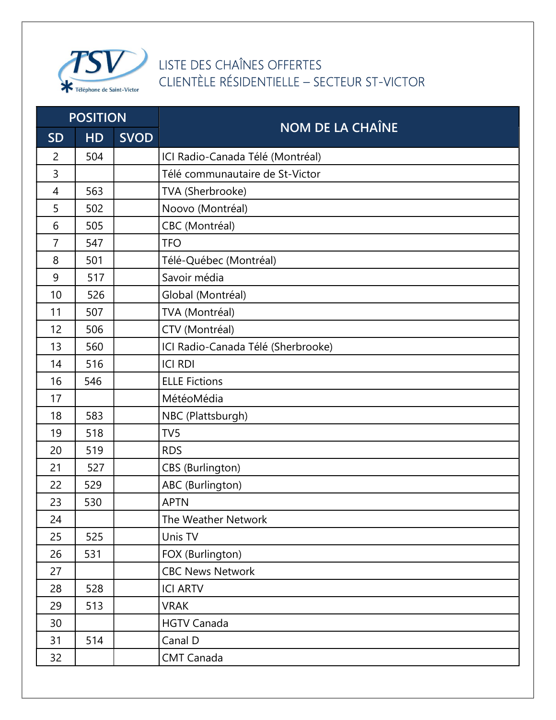

## LISTE DES CHAÎNES OFFERTES CLIENTÈLE RÉSIDENTIELLE – SECTEUR ST-VICTOR

| <b>POSITION</b> |           |             |                                    |
|-----------------|-----------|-------------|------------------------------------|
| <b>SD</b>       | <b>HD</b> | <b>SVOD</b> | <b>NOM DE LA CHAÎNE</b>            |
| $\overline{2}$  | 504       |             | ICI Radio-Canada Télé (Montréal)   |
| 3               |           |             | Télé communautaire de St-Victor    |
| 4               | 563       |             | TVA (Sherbrooke)                   |
| 5               | 502       |             | Noovo (Montréal)                   |
| 6               | 505       |             | CBC (Montréal)                     |
| $\overline{7}$  | 547       |             | <b>TFO</b>                         |
| 8               | 501       |             | Télé-Québec (Montréal)             |
| 9               | 517       |             | Savoir média                       |
| 10              | 526       |             | Global (Montréal)                  |
| 11              | 507       |             | TVA (Montréal)                     |
| 12              | 506       |             | CTV (Montréal)                     |
| 13              | 560       |             | ICI Radio-Canada Télé (Sherbrooke) |
| 14              | 516       |             | <b>ICI RDI</b>                     |
| 16              | 546       |             | <b>ELLE Fictions</b>               |
| 17              |           |             | MétéoMédia                         |
| 18              | 583       |             | NBC (Plattsburgh)                  |
| 19              | 518       |             | TV <sub>5</sub>                    |
| 20              | 519       |             | <b>RDS</b>                         |
| 21              | 527       |             | <b>CBS</b> (Burlington)            |
| 22              | 529       |             | ABC (Burlington)                   |
| 23              | 530       |             | <b>APTN</b>                        |
| 24              |           |             | The Weather Network                |
| 25              | 525       |             | Unis TV                            |
| 26              | 531       |             | FOX (Burlington)                   |
| 27              |           |             | <b>CBC News Network</b>            |
| 28              | 528       |             | <b>ICI ARTV</b>                    |
| 29              | 513       |             | <b>VRAK</b>                        |
| 30              |           |             | <b>HGTV Canada</b>                 |
| 31              | 514       |             | Canal D                            |
| 32              |           |             | <b>CMT Canada</b>                  |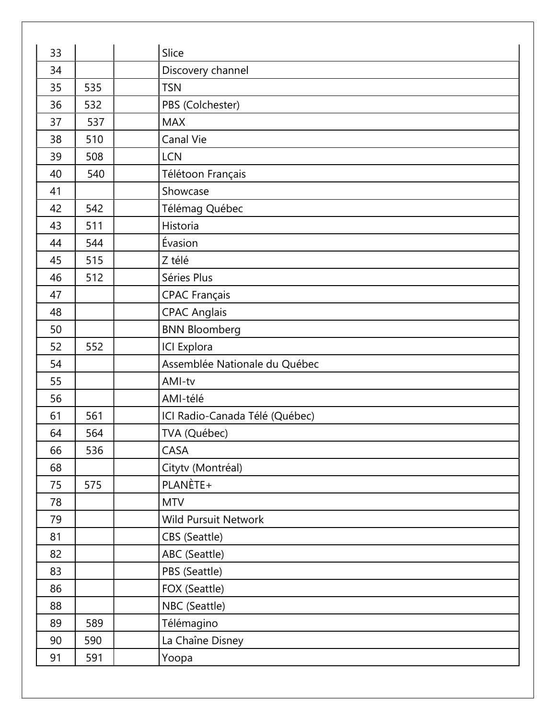| 33 |     | Slice                          |
|----|-----|--------------------------------|
| 34 |     | Discovery channel              |
| 35 | 535 | <b>TSN</b>                     |
| 36 | 532 | PBS (Colchester)               |
| 37 | 537 | <b>MAX</b>                     |
| 38 | 510 | Canal Vie                      |
| 39 | 508 | <b>LCN</b>                     |
| 40 | 540 | Télétoon Français              |
| 41 |     | Showcase                       |
| 42 | 542 | Télémag Québec                 |
| 43 | 511 | Historia                       |
| 44 | 544 | Évasion                        |
| 45 | 515 | Z télé                         |
| 46 | 512 | Séries Plus                    |
| 47 |     | <b>CPAC Français</b>           |
| 48 |     | <b>CPAC Anglais</b>            |
| 50 |     | <b>BNN Bloomberg</b>           |
| 52 | 552 | <b>ICI</b> Explora             |
| 54 |     | Assemblée Nationale du Québec  |
| 55 |     | AMI-tv                         |
| 56 |     | AMI-télé                       |
| 61 | 561 | ICI Radio-Canada Télé (Québec) |
| 64 | 564 | TVA (Québec)                   |
| 66 | 536 | CASA                           |
| 68 |     | Citytv (Montréal)              |
| 75 | 575 | PLANÈTE+                       |
| 78 |     | <b>MTV</b>                     |
| 79 |     | <b>Wild Pursuit Network</b>    |
| 81 |     | CBS (Seattle)                  |
| 82 |     | ABC (Seattle)                  |
| 83 |     | PBS (Seattle)                  |
| 86 |     | FOX (Seattle)                  |
| 88 |     | NBC (Seattle)                  |
| 89 | 589 | Télémagino                     |
| 90 | 590 | La Chaîne Disney               |
| 91 | 591 | Yoopa                          |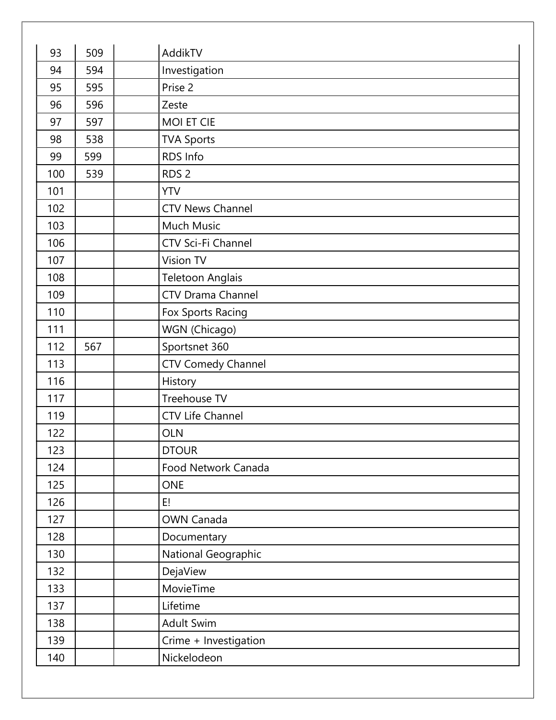| 93  | 509 | AddikTV                   |
|-----|-----|---------------------------|
| 94  | 594 | Investigation             |
| 95  | 595 | Prise 2                   |
| 96  | 596 | Zeste                     |
| 97  | 597 | <b>MOI ET CIE</b>         |
| 98  | 538 | <b>TVA Sports</b>         |
| 99  | 599 | RDS Info                  |
| 100 | 539 | RDS <sub>2</sub>          |
| 101 |     | <b>YTV</b>                |
| 102 |     | <b>CTV News Channel</b>   |
| 103 |     | <b>Much Music</b>         |
| 106 |     | CTV Sci-Fi Channel        |
| 107 |     | Vision TV                 |
| 108 |     | <b>Teletoon Anglais</b>   |
| 109 |     | <b>CTV Drama Channel</b>  |
| 110 |     | Fox Sports Racing         |
| 111 |     | WGN (Chicago)             |
| 112 | 567 | Sportsnet 360             |
| 113 |     | <b>CTV Comedy Channel</b> |
| 116 |     | History                   |
| 117 |     | Treehouse TV              |
| 119 |     | <b>CTV Life Channel</b>   |
| 122 |     | <b>OLN</b>                |
| 123 |     | <b>DTOUR</b>              |
| 124 |     | Food Network Canada       |
| 125 |     | <b>ONE</b>                |
| 126 |     | E!                        |
| 127 |     | <b>OWN Canada</b>         |
| 128 |     | Documentary               |
| 130 |     | National Geographic       |
| 132 |     | DejaView                  |
| 133 |     | MovieTime                 |
| 137 |     | Lifetime                  |
| 138 |     | Adult Swim                |
| 139 |     | Crime + Investigation     |
| 140 |     | Nickelodeon               |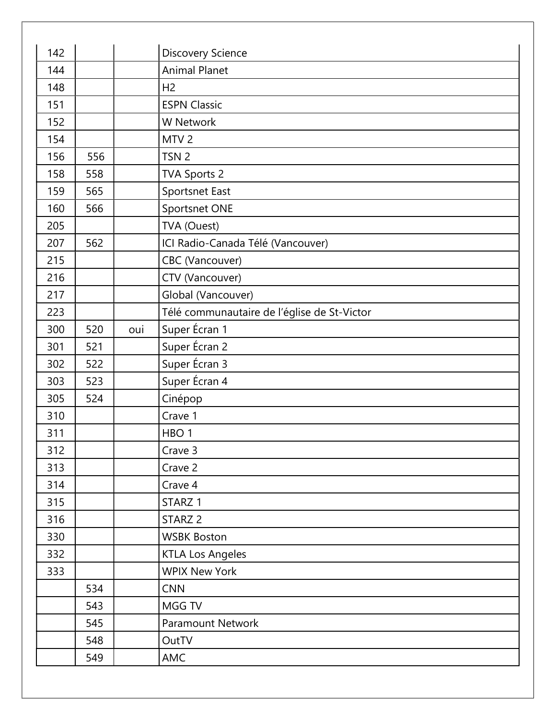| 142 |     |     | <b>Discovery Science</b>                    |
|-----|-----|-----|---------------------------------------------|
| 144 |     |     | <b>Animal Planet</b>                        |
| 148 |     |     | H <sub>2</sub>                              |
| 151 |     |     | <b>ESPN Classic</b>                         |
| 152 |     |     | <b>W</b> Network                            |
| 154 |     |     | MTV <sub>2</sub>                            |
| 156 | 556 |     | TSN <sub>2</sub>                            |
| 158 | 558 |     | <b>TVA Sports 2</b>                         |
| 159 | 565 |     | Sportsnet East                              |
| 160 | 566 |     | Sportsnet ONE                               |
| 205 |     |     | TVA (Ouest)                                 |
| 207 | 562 |     | ICI Radio-Canada Télé (Vancouver)           |
| 215 |     |     | CBC (Vancouver)                             |
| 216 |     |     | CTV (Vancouver)                             |
| 217 |     |     | Global (Vancouver)                          |
| 223 |     |     | Télé communautaire de l'église de St-Victor |
| 300 | 520 | oui | Super Écran 1                               |
| 301 | 521 |     | Super Écran 2                               |
| 302 | 522 |     | Super Écran 3                               |
| 303 | 523 |     | Super Écran 4                               |
| 305 | 524 |     | Cinépop                                     |
| 310 |     |     | Crave 1                                     |
| 311 |     |     | HBO <sub>1</sub>                            |
| 312 |     |     | Crave 3                                     |
| 313 |     |     | Crave 2                                     |
| 314 |     |     | Crave 4                                     |
| 315 |     |     | STARZ <sub>1</sub>                          |
| 316 |     |     | STARZ <sub>2</sub>                          |
| 330 |     |     | <b>WSBK Boston</b>                          |
| 332 |     |     | <b>KTLA Los Angeles</b>                     |
| 333 |     |     | <b>WPIX New York</b>                        |
|     | 534 |     | <b>CNN</b>                                  |
|     | 543 |     | MGG TV                                      |
|     | 545 |     | Paramount Network                           |
|     | 548 |     | OutTV                                       |
|     | 549 |     | <b>AMC</b>                                  |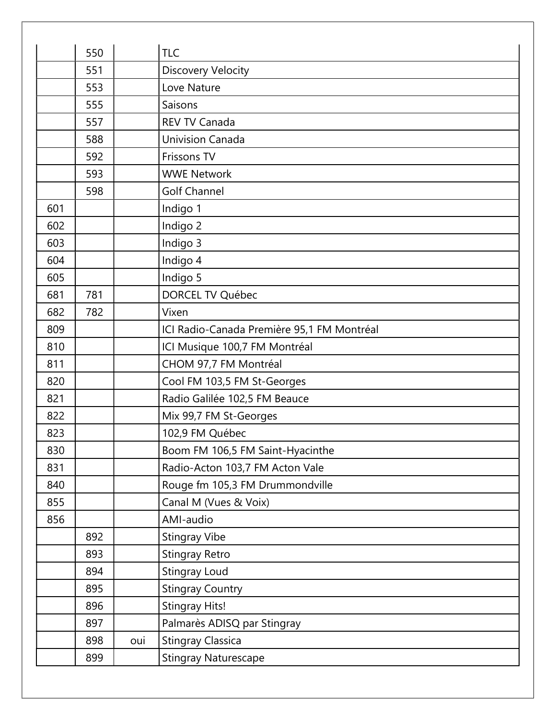|     | 550 |     | <b>TLC</b>                                 |
|-----|-----|-----|--------------------------------------------|
|     | 551 |     | Discovery Velocity                         |
|     | 553 |     | Love Nature                                |
|     | 555 |     | Saisons                                    |
|     | 557 |     | <b>REV TV Canada</b>                       |
|     | 588 |     | <b>Univision Canada</b>                    |
|     | 592 |     | Frissons TV                                |
|     | 593 |     | <b>WWE Network</b>                         |
|     | 598 |     | <b>Golf Channel</b>                        |
| 601 |     |     | Indigo 1                                   |
| 602 |     |     | Indigo 2                                   |
| 603 |     |     | Indigo 3                                   |
| 604 |     |     | Indigo 4                                   |
| 605 |     |     | Indigo 5                                   |
| 681 | 781 |     | DORCEL TV Québec                           |
| 682 | 782 |     | Vixen                                      |
| 809 |     |     | ICI Radio-Canada Première 95,1 FM Montréal |
| 810 |     |     | ICI Musique 100,7 FM Montréal              |
| 811 |     |     | CHOM 97,7 FM Montréal                      |
| 820 |     |     | Cool FM 103,5 FM St-Georges                |
| 821 |     |     | Radio Galilée 102,5 FM Beauce              |
| 822 |     |     | Mix 99,7 FM St-Georges                     |
| 823 |     |     | 102,9 FM Québec                            |
| 830 |     |     | Boom FM 106,5 FM Saint-Hyacinthe           |
| 831 |     |     | Radio-Acton 103,7 FM Acton Vale            |
| 840 |     |     | Rouge fm 105,3 FM Drummondville            |
| 855 |     |     | Canal M (Vues & Voix)                      |
| 856 |     |     | AMI-audio                                  |
|     | 892 |     | <b>Stingray Vibe</b>                       |
|     | 893 |     | Stingray Retro                             |
|     | 894 |     | Stingray Loud                              |
|     | 895 |     | <b>Stingray Country</b>                    |
|     | 896 |     | <b>Stingray Hits!</b>                      |
|     | 897 |     | Palmarès ADISQ par Stingray                |
|     | 898 | oui | <b>Stingray Classica</b>                   |
|     | 899 |     | <b>Stingray Naturescape</b>                |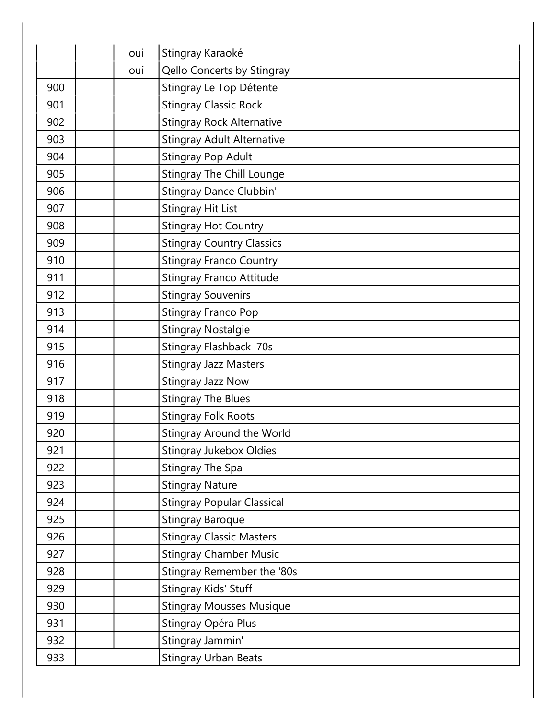|     | oui | Stingray Karaoké                  |
|-----|-----|-----------------------------------|
|     | oui | Qello Concerts by Stingray        |
| 900 |     | Stingray Le Top Détente           |
| 901 |     | <b>Stingray Classic Rock</b>      |
| 902 |     | <b>Stingray Rock Alternative</b>  |
| 903 |     | <b>Stingray Adult Alternative</b> |
| 904 |     | Stingray Pop Adult                |
| 905 |     | <b>Stingray The Chill Lounge</b>  |
| 906 |     | Stingray Dance Clubbin'           |
| 907 |     | <b>Stingray Hit List</b>          |
| 908 |     | <b>Stingray Hot Country</b>       |
| 909 |     | <b>Stingray Country Classics</b>  |
| 910 |     | <b>Stingray Franco Country</b>    |
| 911 |     | <b>Stingray Franco Attitude</b>   |
| 912 |     | <b>Stingray Souvenirs</b>         |
| 913 |     | Stingray Franco Pop               |
| 914 |     | <b>Stingray Nostalgie</b>         |
| 915 |     | <b>Stingray Flashback '70s</b>    |
| 916 |     | <b>Stingray Jazz Masters</b>      |
| 917 |     | <b>Stingray Jazz Now</b>          |
| 918 |     | <b>Stingray The Blues</b>         |
| 919 |     | <b>Stingray Folk Roots</b>        |
| 920 |     | <b>Stingray Around the World</b>  |
| 921 |     | <b>Stingray Jukebox Oldies</b>    |
| 922 |     | Stingray The Spa                  |
| 923 |     | <b>Stingray Nature</b>            |
| 924 |     | <b>Stingray Popular Classical</b> |
| 925 |     | <b>Stingray Baroque</b>           |
| 926 |     | <b>Stingray Classic Masters</b>   |
| 927 |     | <b>Stingray Chamber Music</b>     |
| 928 |     | Stingray Remember the '80s        |
| 929 |     | Stingray Kids' Stuff              |
| 930 |     | <b>Stingray Mousses Musique</b>   |
| 931 |     | Stingray Opéra Plus               |
| 932 |     | Stingray Jammin'                  |
| 933 |     | <b>Stingray Urban Beats</b>       |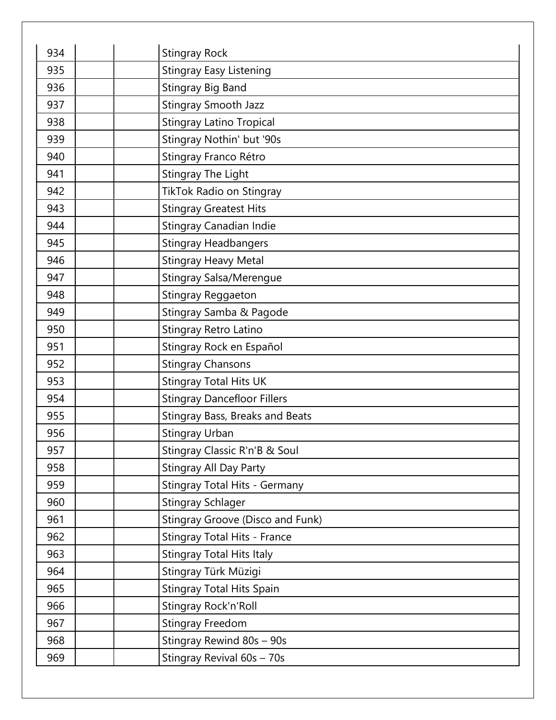| 934 | <b>Stingray Rock</b>                 |
|-----|--------------------------------------|
| 935 | <b>Stingray Easy Listening</b>       |
| 936 | <b>Stingray Big Band</b>             |
| 937 | <b>Stingray Smooth Jazz</b>          |
| 938 | <b>Stingray Latino Tropical</b>      |
| 939 | Stingray Nothin' but '90s            |
| 940 | Stingray Franco Rétro                |
| 941 | <b>Stingray The Light</b>            |
| 942 | TikTok Radio on Stingray             |
| 943 | <b>Stingray Greatest Hits</b>        |
| 944 | <b>Stingray Canadian Indie</b>       |
| 945 | <b>Stingray Headbangers</b>          |
| 946 | <b>Stingray Heavy Metal</b>          |
| 947 | <b>Stingray Salsa/Merengue</b>       |
| 948 | <b>Stingray Reggaeton</b>            |
| 949 | Stingray Samba & Pagode              |
| 950 | Stingray Retro Latino                |
| 951 | Stingray Rock en Español             |
| 952 | <b>Stingray Chansons</b>             |
| 953 | <b>Stingray Total Hits UK</b>        |
| 954 | <b>Stingray Dancefloor Fillers</b>   |
| 955 | Stingray Bass, Breaks and Beats      |
| 956 | <b>Stingray Urban</b>                |
| 957 | Stingray Classic R'n'B & Soul        |
| 958 | <b>Stingray All Day Party</b>        |
| 959 | <b>Stingray Total Hits - Germany</b> |
| 960 | <b>Stingray Schlager</b>             |
| 961 | Stingray Groove (Disco and Funk)     |
| 962 | Stingray Total Hits - France         |
| 963 | <b>Stingray Total Hits Italy</b>     |
| 964 | Stingray Türk Müzigi                 |
| 965 | <b>Stingray Total Hits Spain</b>     |
| 966 | Stingray Rock'n'Roll                 |
| 967 | <b>Stingray Freedom</b>              |
| 968 | Stingray Rewind 80s - 90s            |
| 969 | Stingray Revival 60s - 70s           |